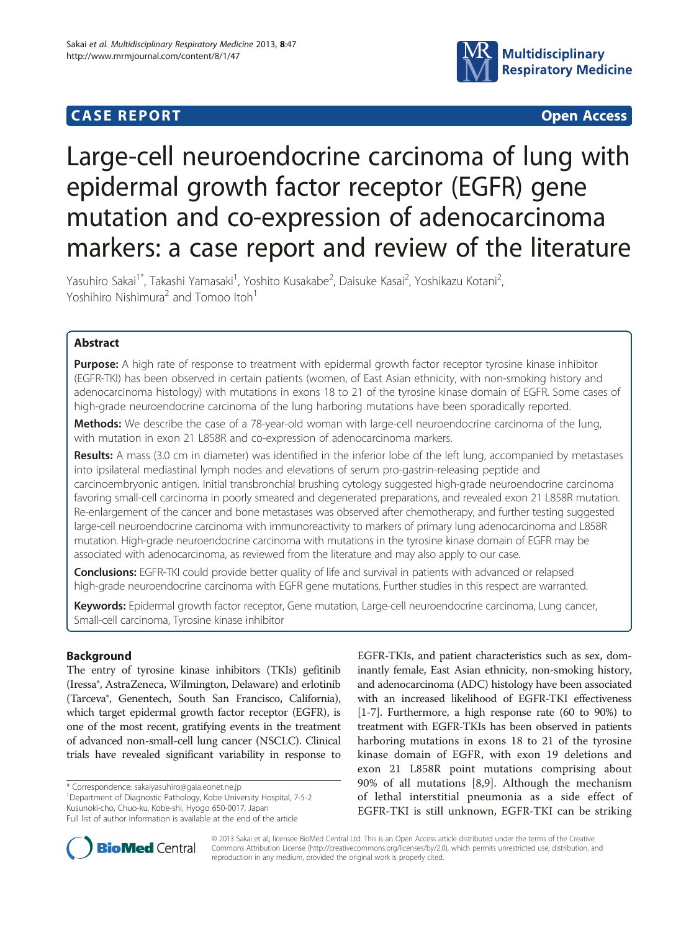## **CASE REPORT CASE REPORT** And the contract of the contract of the contract of the contract of the contract of the contract of the contract of the contract of the contract of the contract of the contract of the contract of



# Large-cell neuroendocrine carcinoma of lung with epidermal growth factor receptor (EGFR) gene mutation and co-expression of adenocarcinoma markers: a case report and review of the literature

Yasuhiro Sakai<sup>1\*</sup>, Takashi Yamasaki<sup>1</sup>, Yoshito Kusakabe<sup>2</sup>, Daisuke Kasai<sup>2</sup>, Yoshikazu Kotani<sup>2</sup> , Yoshihiro Nishimura<sup>2</sup> and Tomoo Itoh<sup>1</sup>

## Abstract

Purpose: A high rate of response to treatment with epidermal growth factor receptor tyrosine kinase inhibitor (EGFR-TKI) has been observed in certain patients (women, of East Asian ethnicity, with non-smoking history and adenocarcinoma histology) with mutations in exons 18 to 21 of the tyrosine kinase domain of EGFR. Some cases of high-grade neuroendocrine carcinoma of the lung harboring mutations have been sporadically reported.

Methods: We describe the case of a 78-year-old woman with large-cell neuroendocrine carcinoma of the lung, with mutation in exon 21 L858R and co-expression of adenocarcinoma markers.

Results: A mass (3.0 cm in diameter) was identified in the inferior lobe of the left lung, accompanied by metastases into ipsilateral mediastinal lymph nodes and elevations of serum pro-gastrin-releasing peptide and carcinoembryonic antigen. Initial transbronchial brushing cytology suggested high-grade neuroendocrine carcinoma favoring small-cell carcinoma in poorly smeared and degenerated preparations, and revealed exon 21 L858R mutation. Re-enlargement of the cancer and bone metastases was observed after chemotherapy, and further testing suggested large-cell neuroendocrine carcinoma with immunoreactivity to markers of primary lung adenocarcinoma and L858R mutation. High-grade neuroendocrine carcinoma with mutations in the tyrosine kinase domain of EGFR may be associated with adenocarcinoma, as reviewed from the literature and may also apply to our case.

Conclusions: EGFR-TKI could provide better quality of life and survival in patients with advanced or relapsed high-grade neuroendocrine carcinoma with EGFR gene mutations. Further studies in this respect are warranted.

Keywords: Epidermal growth factor receptor, Gene mutation, Large-cell neuroendocrine carcinoma, Lung cancer, Small-cell carcinoma, Tyrosine kinase inhibitor

## Background

The entry of tyrosine kinase inhibitors (TKIs) gefitinib (Iressa®, AstraZeneca, Wilmington, Delaware) and erlotinib (Tarceva®, Genentech, South San Francisco, California), which target epidermal growth factor receptor (EGFR), is one of the most recent, gratifying events in the treatment of advanced non-small-cell lung cancer (NSCLC). Clinical trials have revealed significant variability in response to

<sup>1</sup>Department of Diagnostic Pathology, Kobe University Hospital, 7-5-2 Kusunoki-cho, Chuo-ku, Kobe-shi, Hyogo 650-0017, Japan Full list of author information is available at the end of the article



© 2013 Sakai et al.; licensee BioMed Central Ltd. This is an Open Access article distributed under the terms of the Creative Commons Attribution License [\(http://creativecommons.org/licenses/by/2.0\)](http://creativecommons.org/licenses/by/2.0), which permits unrestricted use, distribution, and reproduction in any medium, provided the original work is properly cited.

<sup>\*</sup> Correspondence: [sakaiyasuhiro@gaia.eonet.ne.jp](mailto:sakaiyasuhiro@gaia.eonet.ne.jp) <sup>1</sup>

EGFR-TKIs, and patient characteristics such as sex, dominantly female, East Asian ethnicity, non-smoking history, and adenocarcinoma (ADC) histology have been associated with an increased likelihood of EGFR-TKI effectiveness [[1-7\]](#page-4-0). Furthermore, a high response rate (60 to 90%) to treatment with EGFR-TKIs has been observed in patients harboring mutations in exons 18 to 21 of the tyrosine kinase domain of EGFR, with exon 19 deletions and exon 21 L858R point mutations comprising about 90% of all mutations [[8,9\]](#page-4-0). Although the mechanism of lethal interstitial pneumonia as a side effect of EGFR-TKI is still unknown, EGFR-TKI can be striking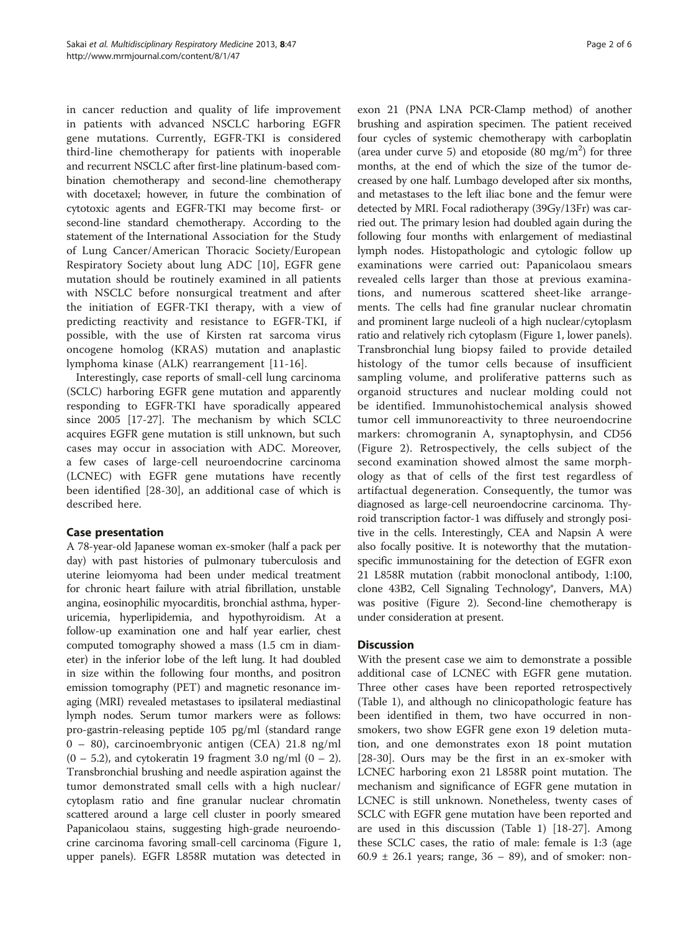in cancer reduction and quality of life improvement in patients with advanced NSCLC harboring EGFR gene mutations. Currently, EGFR-TKI is considered third-line chemotherapy for patients with inoperable and recurrent NSCLC after first-line platinum-based combination chemotherapy and second-line chemotherapy with docetaxel; however, in future the combination of cytotoxic agents and EGFR-TKI may become first- or second-line standard chemotherapy. According to the statement of the International Association for the Study of Lung Cancer/American Thoracic Society/European Respiratory Society about lung ADC [[10\]](#page-4-0), EGFR gene mutation should be routinely examined in all patients with NSCLC before nonsurgical treatment and after the initiation of EGFR-TKI therapy, with a view of predicting reactivity and resistance to EGFR-TKI, if possible, with the use of Kirsten rat sarcoma virus oncogene homolog (KRAS) mutation and anaplastic lymphoma kinase (ALK) rearrangement [[11-16](#page-5-0)].

Interestingly, case reports of small-cell lung carcinoma (SCLC) harboring EGFR gene mutation and apparently responding to EGFR-TKI have sporadically appeared since 2005 [[17-27](#page-5-0)]. The mechanism by which SCLC acquires EGFR gene mutation is still unknown, but such cases may occur in association with ADC. Moreover, a few cases of large-cell neuroendocrine carcinoma (LCNEC) with EGFR gene mutations have recently been identified [\[28](#page-5-0)-[30](#page-5-0)], an additional case of which is described here.

## Case presentation

A 78-year-old Japanese woman ex-smoker (half a pack per day) with past histories of pulmonary tuberculosis and uterine leiomyoma had been under medical treatment for chronic heart failure with atrial fibrillation, unstable angina, eosinophilic myocarditis, bronchial asthma, hyperuricemia, hyperlipidemia, and hypothyroidism. At a follow-up examination one and half year earlier, chest computed tomography showed a mass (1.5 cm in diameter) in the inferior lobe of the left lung. It had doubled in size within the following four months, and positron emission tomography (PET) and magnetic resonance imaging (MRI) revealed metastases to ipsilateral mediastinal lymph nodes. Serum tumor markers were as follows: pro-gastrin-releasing peptide 105 pg/ml (standard range 0 – 80), carcinoembryonic antigen (CEA) 21.8 ng/ml  $(0 - 5.2)$ , and cytokeratin 19 fragment 3.0 ng/ml  $(0 - 2)$ . Transbronchial brushing and needle aspiration against the tumor demonstrated small cells with a high nuclear/ cytoplasm ratio and fine granular nuclear chromatin scattered around a large cell cluster in poorly smeared Papanicolaou stains, suggesting high-grade neuroendocrine carcinoma favoring small-cell carcinoma (Figure [1](#page-2-0), upper panels). EGFR L858R mutation was detected in

exon 21 (PNA LNA PCR-Clamp method) of another brushing and aspiration specimen. The patient received four cycles of systemic chemotherapy with carboplatin (area under curve 5) and etoposide  $(80 \text{ mg/m}^2)$  for three months, at the end of which the size of the tumor decreased by one half. Lumbago developed after six months, and metastases to the left iliac bone and the femur were detected by MRI. Focal radiotherapy (39Gy/13Fr) was carried out. The primary lesion had doubled again during the following four months with enlargement of mediastinal lymph nodes. Histopathologic and cytologic follow up examinations were carried out: Papanicolaou smears revealed cells larger than those at previous examinations, and numerous scattered sheet-like arrangements. The cells had fine granular nuclear chromatin and prominent large nucleoli of a high nuclear/cytoplasm ratio and relatively rich cytoplasm (Figure [1,](#page-2-0) lower panels). Transbronchial lung biopsy failed to provide detailed histology of the tumor cells because of insufficient sampling volume, and proliferative patterns such as organoid structures and nuclear molding could not be identified. Immunohistochemical analysis showed tumor cell immunoreactivity to three neuroendocrine markers: chromogranin A, synaptophysin, and CD56 (Figure [2\)](#page-2-0). Retrospectively, the cells subject of the second examination showed almost the same morphology as that of cells of the first test regardless of artifactual degeneration. Consequently, the tumor was diagnosed as large-cell neuroendocrine carcinoma. Thyroid transcription factor-1 was diffusely and strongly positive in the cells. Interestingly, CEA and Napsin A were also focally positive. It is noteworthy that the mutationspecific immunostaining for the detection of EGFR exon 21 L858R mutation (rabbit monoclonal antibody, 1:100, clone 43B2, Cell Signaling Technology<sup>®</sup>, Danvers, MA) was positive (Figure [2](#page-2-0)). Second-line chemotherapy is under consideration at present.

## **Discussion**

With the present case we aim to demonstrate a possible additional case of LCNEC with EGFR gene mutation. Three other cases have been reported retrospectively (Table [1\)](#page-3-0), and although no clinicopathologic feature has been identified in them, two have occurred in nonsmokers, two show EGFR gene exon 19 deletion mutation, and one demonstrates exon 18 point mutation [[28-30](#page-5-0)]. Ours may be the first in an ex-smoker with LCNEC harboring exon 21 L858R point mutation. The mechanism and significance of EGFR gene mutation in LCNEC is still unknown. Nonetheless, twenty cases of SCLC with EGFR gene mutation have been reported and are used in this discussion (Table [1\)](#page-3-0) [\[18](#page-5-0)-[27\]](#page-5-0). Among these SCLC cases, the ratio of male: female is 1:3 (age 60.9  $\pm$  26.1 years; range, 36 – 89), and of smoker: non-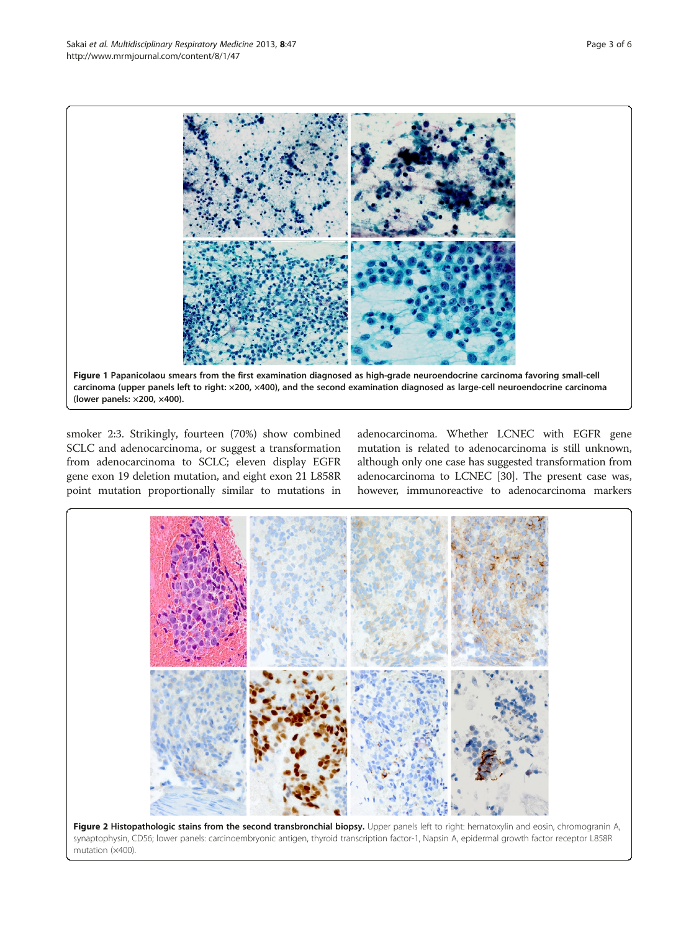<span id="page-2-0"></span>

smoker 2:3. Strikingly, fourteen (70%) show combined SCLC and adenocarcinoma, or suggest a transformation from adenocarcinoma to SCLC; eleven display EGFR gene exon 19 deletion mutation, and eight exon 21 L858R point mutation proportionally similar to mutations in

adenocarcinoma. Whether LCNEC with EGFR gene mutation is related to adenocarcinoma is still unknown, although only one case has suggested transformation from adenocarcinoma to LCNEC [[30](#page-5-0)]. The present case was, however, immunoreactive to adenocarcinoma markers

![](_page_2_Figure_4.jpeg)

synaptophysin, CD56; lower panels: carcinoembryonic antigen, thyroid transcription factor-1, Napsin A, epidermal growth factor receptor L858R mutation (x400).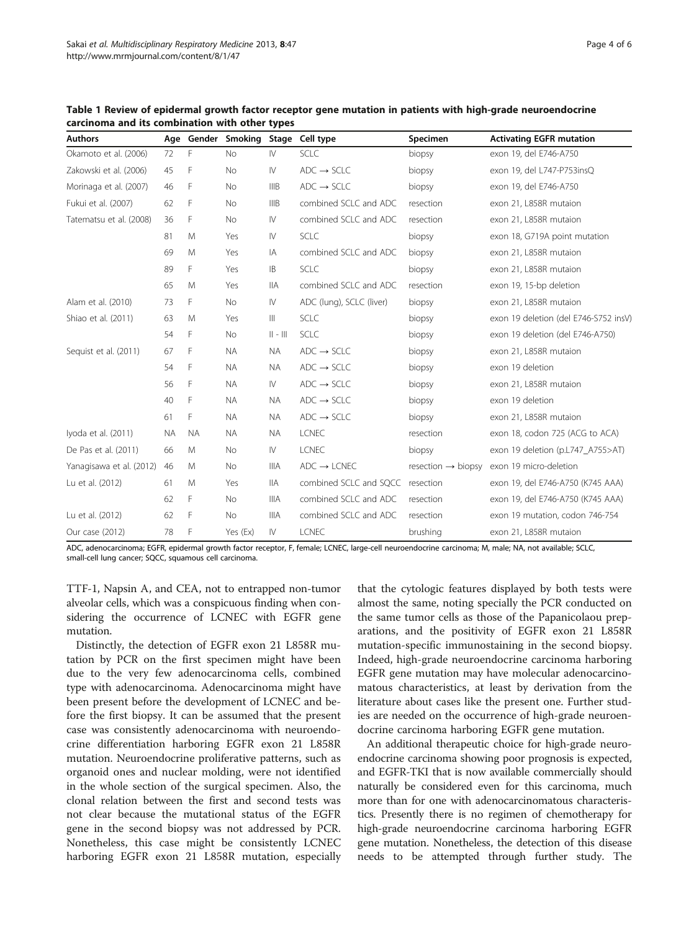| <b>Authors</b>           |           |     | Age Gender Smoking Stage Cell type |                        |                          | Specimen                       | <b>Activating EGFR mutation</b>       |
|--------------------------|-----------|-----|------------------------------------|------------------------|--------------------------|--------------------------------|---------------------------------------|
| Okamoto et al. (2006)    | 72        | F   | No                                 | ${\sf IV}$             | SCLC                     | biopsy                         | exon 19, del E746-A750                |
| Zakowski et al. (2006)   | 45        | F   | No                                 | $\mathsf{I}\mathsf{V}$ | $ADC \rightarrow SCLC$   | biopsy                         | exon 19, del L747-P753insQ            |
| Morinaga et al. (2007)   | 46        | F   | No                                 | IIIB                   | $ADC \rightarrow SCLC$   | biopsy                         | exon 19, del E746-A750                |
| Fukui et al. (2007)      | 62        | F   | No                                 | IIIB                   | combined SCLC and ADC    | resection                      | exon 21, L858R mutaion                |
| Tatematsu et al. (2008)  | 36        | F   | No                                 | $\mathsf{I}\mathsf{V}$ | combined SCLC and ADC    | resection                      | exon 21, L858R mutaion                |
|                          | 81        | M   | Yes                                | $\mathsf{I}\mathsf{V}$ | <b>SCLC</b>              | biopsy                         | exon 18, G719A point mutation         |
|                          | 69        | M   | Yes                                | IA                     | combined SCLC and ADC    | biopsy                         | exon 21, L858R mutaion                |
|                          | 89        | F   | Yes                                | B                      | SCLC                     | biopsy                         | exon 21, L858R mutaion                |
|                          | 65        | M   | Yes                                | <b>IIA</b>             | combined SCLC and ADC    | resection                      | exon 19, 15-bp deletion               |
| Alam et al. (2010)       | 73        | F   | No                                 | IV                     | ADC (lung), SCLC (liver) | biopsy                         | exon 21, L858R mutaion                |
| Shiao et al. (2011)      | 63        | M   | Yes                                | Ш                      | <b>SCLC</b>              | biopsy                         | exon 19 deletion (del E746-S752 insV) |
|                          | 54        | F   | No                                 | $   -    $             | SCLC                     | biopsy                         | exon 19 deletion (del E746-A750)      |
| Sequist et al. (2011)    | 67        | F   | <b>NA</b>                          | <b>NA</b>              | $ADC \rightarrow SCLC$   | biopsy                         | exon 21, L858R mutaion                |
|                          | 54        | F   | <b>NA</b>                          | <b>NA</b>              | $ADC \rightarrow SCLC$   | biopsy                         | exon 19 deletion                      |
|                          | 56        | F   | <b>NA</b>                          | $\mathsf{I}\mathsf{V}$ | $ADC \rightarrow SCLC$   | biopsy                         | exon 21, L858R mutaion                |
|                          | 40        | F   | <b>NA</b>                          | <b>NA</b>              | $ADC \rightarrow SCLC$   | biopsy                         | exon 19 deletion                      |
|                          | 61        | F   | <b>NA</b>                          | <b>NA</b>              | $ADC \rightarrow SCLC$   | biopsy                         | exon 21, L858R mutaion                |
| lyoda et al. (2011)      | <b>NA</b> | NA. | <b>NA</b>                          | <b>NA</b>              | <b>LCNEC</b>             | resection                      | exon 18, codon 725 (ACG to ACA)       |
| De Pas et al. (2011)     | 66        | M   | No                                 | $\mathsf{I}\mathsf{V}$ | <b>LCNEC</b>             | biopsy                         | exon 19 deletion (p.L747_A755>AT)     |
| Yanagisawa et al. (2012) | 46        | M   | No                                 | <b>IIIA</b>            | $ADC \rightarrow LCNEC$  | resection $\rightarrow$ biopsy | exon 19 micro-deletion                |
| Lu et al. (2012)         | 61        | M   | Yes                                | <b>IIA</b>             | combined SCLC and SQCC   | resection                      | exon 19, del E746-A750 (K745 AAA)     |
|                          | 62        | F   | No                                 | <b>IIIA</b>            | combined SCLC and ADC    | resection                      | exon 19, del E746-A750 (K745 AAA)     |
| Lu et al. (2012)         | 62        | F   | No                                 | <b>IIIA</b>            | combined SCLC and ADC    | resection                      | exon 19 mutation, codon 746-754       |
| Our case (2012)          | 78        | F   | Yes (Ex)                           | $\mathsf{I}\mathsf{V}$ | <b>LCNEC</b>             | brushing                       | exon 21, L858R mutaion                |

<span id="page-3-0"></span>Table 1 Review of epidermal growth factor receptor gene mutation in patients with high-grade neuroendocrine carcinoma and its combination with other types

ADC, adenocarcinoma; EGFR, epidermal growth factor receptor, F, female; LCNEC, large-cell neuroendocrine carcinoma; M, male; NA, not available; SCLC, small-cell lung cancer; SQCC, squamous cell carcinoma.

TTF-1, Napsin A, and CEA, not to entrapped non-tumor alveolar cells, which was a conspicuous finding when considering the occurrence of LCNEC with EGFR gene mutation.

Distinctly, the detection of EGFR exon 21 L858R mutation by PCR on the first specimen might have been due to the very few adenocarcinoma cells, combined type with adenocarcinoma. Adenocarcinoma might have been present before the development of LCNEC and before the first biopsy. It can be assumed that the present case was consistently adenocarcinoma with neuroendocrine differentiation harboring EGFR exon 21 L858R mutation. Neuroendocrine proliferative patterns, such as organoid ones and nuclear molding, were not identified in the whole section of the surgical specimen. Also, the clonal relation between the first and second tests was not clear because the mutational status of the EGFR gene in the second biopsy was not addressed by PCR. Nonetheless, this case might be consistently LCNEC harboring EGFR exon 21 L858R mutation, especially

that the cytologic features displayed by both tests were almost the same, noting specially the PCR conducted on the same tumor cells as those of the Papanicolaou preparations, and the positivity of EGFR exon 21 L858R mutation-specific immunostaining in the second biopsy. Indeed, high-grade neuroendocrine carcinoma harboring EGFR gene mutation may have molecular adenocarcinomatous characteristics, at least by derivation from the literature about cases like the present one. Further studies are needed on the occurrence of high-grade neuroendocrine carcinoma harboring EGFR gene mutation.

An additional therapeutic choice for high-grade neuroendocrine carcinoma showing poor prognosis is expected, and EGFR-TKI that is now available commercially should naturally be considered even for this carcinoma, much more than for one with adenocarcinomatous characteristics. Presently there is no regimen of chemotherapy for high-grade neuroendocrine carcinoma harboring EGFR gene mutation. Nonetheless, the detection of this disease needs to be attempted through further study. The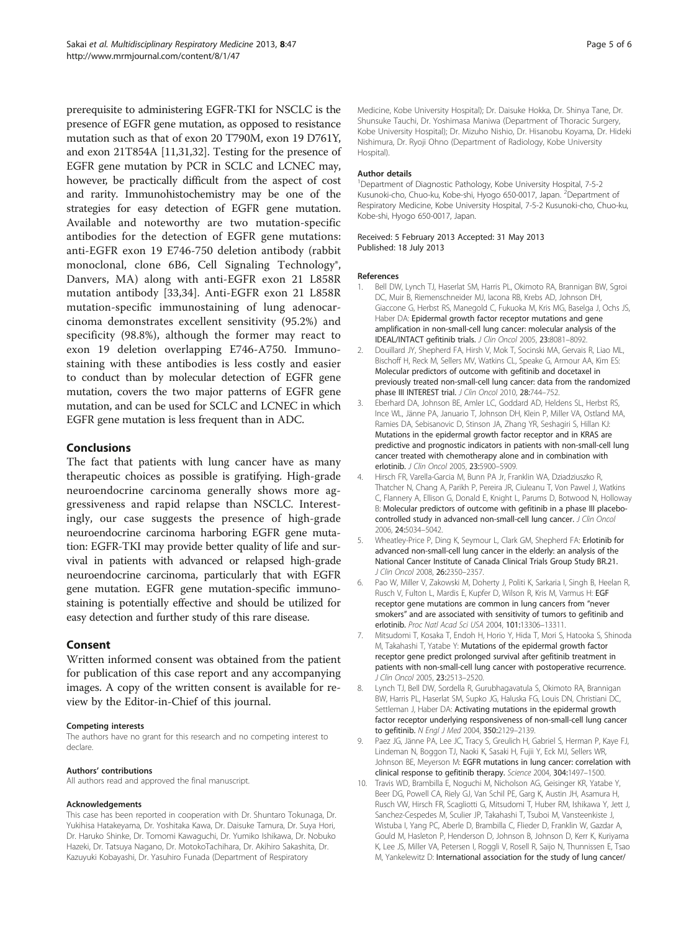<span id="page-4-0"></span>prerequisite to administering EGFR-TKI for NSCLC is the presence of EGFR gene mutation, as opposed to resistance mutation such as that of exon 20 T790M, exon 19 D761Y, and exon 21T854A [\[11,31,32](#page-5-0)]. Testing for the presence of EGFR gene mutation by PCR in SCLC and LCNEC may, however, be practically difficult from the aspect of cost and rarity. Immunohistochemistry may be one of the strategies for easy detection of EGFR gene mutation. Available and noteworthy are two mutation-specific antibodies for the detection of EGFR gene mutations: anti-EGFR exon 19 E746-750 deletion antibody (rabbit monoclonal, clone 6B6, Cell Signaling Technology<sup>®</sup>, Danvers, MA) along with anti-EGFR exon 21 L858R mutation antibody [[33,34\]](#page-5-0). Anti-EGFR exon 21 L858R mutation-specific immunostaining of lung adenocarcinoma demonstrates excellent sensitivity (95.2%) and specificity (98.8%), although the former may react to exon 19 deletion overlapping E746-A750. Immunostaining with these antibodies is less costly and easier to conduct than by molecular detection of EGFR gene mutation, covers the two major patterns of EGFR gene mutation, and can be used for SCLC and LCNEC in which EGFR gene mutation is less frequent than in ADC.

## Conclusions

The fact that patients with lung cancer have as many therapeutic choices as possible is gratifying. High-grade neuroendocrine carcinoma generally shows more aggressiveness and rapid relapse than NSCLC. Interestingly, our case suggests the presence of high-grade neuroendocrine carcinoma harboring EGFR gene mutation: EGFR-TKI may provide better quality of life and survival in patients with advanced or relapsed high-grade neuroendocrine carcinoma, particularly that with EGFR gene mutation. EGFR gene mutation-specific immunostaining is potentially effective and should be utilized for easy detection and further study of this rare disease.

## Consent

Written informed consent was obtained from the patient for publication of this case report and any accompanying images. A copy of the written consent is available for review by the Editor-in-Chief of this journal.

#### Competing interests

The authors have no grant for this research and no competing interest to declare.

#### Authors' contributions

All authors read and approved the final manuscript.

#### Acknowledgements

This case has been reported in cooperation with Dr. Shuntaro Tokunaga, Dr. Yukihisa Hatakeyama, Dr. Yoshitaka Kawa, Dr. Daisuke Tamura, Dr. Suya Hori, Dr. Haruko Shinke, Dr. Tomomi Kawaguchi, Dr. Yumiko Ishikawa, Dr. Nobuko Hazeki, Dr. Tatsuya Nagano, Dr. MotokoTachihara, Dr. Akihiro Sakashita, Dr. Kazuyuki Kobayashi, Dr. Yasuhiro Funada (Department of Respiratory

Medicine, Kobe University Hospital); Dr. Daisuke Hokka, Dr. Shinya Tane, Dr. Shunsuke Tauchi, Dr. Yoshimasa Maniwa (Department of Thoracic Surgery, Kobe University Hospital); Dr. Mizuho Nishio, Dr. Hisanobu Koyama, Dr. Hideki Nishimura, Dr. Ryoji Ohno (Department of Radiology, Kobe University Hospital).

#### Author details

<sup>1</sup>Department of Diagnostic Pathology, Kobe University Hospital, 7-5-2 Kusunoki-cho, Chuo-ku, Kobe-shi, Hyogo 650-0017, Japan. <sup>2</sup>Department of Respiratory Medicine, Kobe University Hospital, 7-5-2 Kusunoki-cho, Chuo-ku, Kobe-shi, Hyogo 650-0017, Japan.

#### Received: 5 February 2013 Accepted: 31 May 2013 Published: 18 July 2013

#### References

- 1. Bell DW, Lynch TJ, Haserlat SM, Harris PL, Okimoto RA, Brannigan BW, Sgroi DC, Muir B, Riemenschneider MJ, Iacona RB, Krebs AD, Johnson DH, Giaccone G, Herbst RS, Manegold C, Fukuoka M, Kris MG, Baselga J, Ochs JS, Haber DA: Epidermal growth factor receptor mutations and gene amplification in non-small-cell lung cancer: molecular analysis of the IDEAL/INTACT gefitinib trials. J Clin Oncol 2005, 23:8081–8092.
- 2. Douillard JY, Shepherd FA, Hirsh V, Mok T, Socinski MA, Gervais R, Liao ML, Bischoff H, Reck M, Sellers MV, Watkins CL, Speake G, Armour AA, Kim ES: Molecular predictors of outcome with gefitinib and docetaxel in previously treated non-small-cell lung cancer: data from the randomized phase III INTEREST trial. J Clin Oncol 2010, 28:744–752.
- 3. Eberhard DA, Johnson BE, Amler LC, Goddard AD, Heldens SL, Herbst RS, Ince WL, Jänne PA, Januario T, Johnson DH, Klein P, Miller VA, Ostland MA, Ramies DA, Sebisanovic D, Stinson JA, Zhang YR, Seshagiri S, Hillan KJ: Mutations in the epidermal growth factor receptor and in KRAS are predictive and prognostic indicators in patients with non-small-cell lung cancer treated with chemotherapy alone and in combination with erlotinib. J Clin Oncol 2005, 23:5900–5909.
- 4. Hirsch FR, Varella-Garcia M, Bunn PA Jr, Franklin WA, Dziadziuszko R, Thatcher N, Chang A, Parikh P, Pereira JR, Ciuleanu T, Von Pawel J, Watkins C, Flannery A, Ellison G, Donald E, Knight L, Parums D, Botwood N, Holloway B: Molecular predictors of outcome with gefitinib in a phase III placebocontrolled study in advanced non-small-cell lung cancer. J Clin Oncol 2006, 24:5034–5042.
- Wheatley-Price P, Ding K, Seymour L, Clark GM, Shepherd FA: Erlotinib for advanced non-small-cell lung cancer in the elderly: an analysis of the National Cancer Institute of Canada Clinical Trials Group Study BR.21. J Clin Oncol 2008, 26:2350–2357.
- 6. Pao W, Miller V, Zakowski M, Doherty J, Politi K, Sarkaria I, Singh B, Heelan R, Rusch V, Fulton L, Mardis E, Kupfer D, Wilson R, Kris M, Varmus H: EGF receptor gene mutations are common in lung cancers from "never smokers" and are associated with sensitivity of tumors to gefitinib and erlotinib. Proc Natl Acad Sci USA 2004, 101:13306–13311.
- 7. Mitsudomi T, Kosaka T, Endoh H, Horio Y, Hida T, Mori S, Hatooka S, Shinoda M, Takahashi T, Yatabe Y: Mutations of the epidermal growth factor receptor gene predict prolonged survival after gefitinib treatment in patients with non-small-cell lung cancer with postoperative recurrence. J Clin Oncol 2005, 23:2513–2520.
- 8. Lynch TJ, Bell DW, Sordella R, Gurubhagavatula S, Okimoto RA, Brannigan BW, Harris PL, Haserlat SM, Supko JG, Haluska FG, Louis DN, Christiani DC, Settleman J, Haber DA: Activating mutations in the epidermal growth factor receptor underlying responsiveness of non-small-cell lung cancer to gefitinib. N Engl J Med 2004, 350:2129–2139.
- 9. Paez JG, Jänne PA, Lee JC, Tracy S, Greulich H, Gabriel S, Herman P, Kaye FJ, Lindeman N, Boggon TJ, Naoki K, Sasaki H, Fujii Y, Eck MJ, Sellers WR, Johnson BE, Meyerson M: EGFR mutations in lung cancer: correlation with clinical response to gefitinib therapy. Science 2004, 304:1497–1500.
- 10. Travis WD, Brambilla E, Noguchi M, Nicholson AG, Geisinger KR, Yatabe Y, Beer DG, Powell CA, Riely GJ, Van Schil PE, Garg K, Austin JH, Asamura H, Rusch VW, Hirsch FR, Scagliotti G, Mitsudomi T, Huber RM, Ishikawa Y, Jett J, Sanchez-Cespedes M, Sculier JP, Takahashi T, Tsuboi M, Vansteenkiste J, Wistuba I, Yang PC, Aberle D, Brambilla C, Flieder D, Franklin W, Gazdar A, Gould M, Hasleton P, Henderson D, Johnson B, Johnson D, Kerr K, Kuriyama K, Lee JS, Miller VA, Petersen I, Roggli V, Rosell R, Saijo N, Thunnissen E, Tsao M, Yankelewitz D: International association for the study of lung cancer/